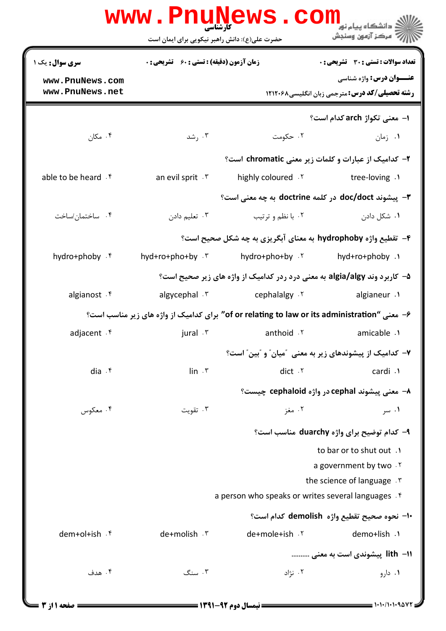|                                                                                              | www.Pnu̯Mews.com                                              |                                                     | دانشگاه پیام نو <mark>ر</mark>                                                           |  |  |
|----------------------------------------------------------------------------------------------|---------------------------------------------------------------|-----------------------------------------------------|------------------------------------------------------------------------------------------|--|--|
|                                                                                              | حضرت علی(ع): دانش راهبر نیکویی برای ایمان است                 |                                                     | 7' مرڪز آزمون وسنڊش                                                                      |  |  |
| <b>سری سوال :</b> یک ۱                                                                       | <b>زمان آزمون (دقیقه) : تستی : 60 ٪ تشریحی : 0</b>            |                                                     | تعداد سوالات : تستى : 30 ٪ تشريحي : 0                                                    |  |  |
| www.PnuNews.com<br>www.PnuNews.net                                                           |                                                               |                                                     | <b>عنـــوان درس:</b> واژه شناسی<br><b>رشته تحصیلی/کد درس:</b> مترجمی زبان انگلیسی1۲۱۲۰۶۸ |  |  |
|                                                                                              |                                                               |                                                     | ا–  معنی تکواژ arch کدام است؟                                                            |  |  |
| ۰۴ مکان $\cdot$                                                                              | ۰۳ , شد                                                       | ۰۲ حکومت                                            | ۰۱ زمان                                                                                  |  |  |
|                                                                                              |                                                               |                                                     | ۲- کدامیک از عبارات و کلمات زیر معنی chromatic است؟                                      |  |  |
| able to be heard . f                                                                         | an evil sprit . \v                                            | highly coloured . Y                                 | tree-loving .1                                                                           |  |  |
|                                                                                              | ٣- پیشوند doc/doct در کلمه doctrine به چه معنی است؟           |                                                     |                                                                                          |  |  |
| ۰۴ ساختمان/ساخت                                                                              | ۰۳ تعلیم دادن                                                 | ۰۲ با نظم و ترتیب                                   | ۰۱ شکل دادن                                                                              |  |  |
|                                                                                              | ۴- تقطیع واژه hydrophoby به معنای آبگریزی به چه شکل صحیح است؟ |                                                     |                                                                                          |  |  |
| hydro+phoby . f                                                                              | hyd+ro+pho+by $\cdot$ $\cdot$                                 | hydro+pho+by . ٢                                    | ۱. hyd+ro+phoby                                                                          |  |  |
|                                                                                              |                                                               |                                                     | ۵–  کاربرد وند algia/algy به معنی درد ردر کدامیک از واژه های زیر صحیح است؟               |  |  |
| algianost . f                                                                                | algycephal . ٣                                                | r cephalalgy                                        | algianeur .1                                                                             |  |  |
| ۶– معنی "of or relating to law or its administration" برای کدامیک از واژه های زیر مناسب است؟ |                                                               |                                                     |                                                                                          |  |  |
| adjacent . f                                                                                 | jural . ٣                                                     | anthoid . ٢                                         | amicable .1                                                                              |  |  |
|                                                                                              |                                                               |                                                     | ۷– کدامیک از پیشوندهای زیر به معنی ″میان″ و ″بین″ است؟                                   |  |  |
| dia $\cdot$ $\mathfrak{f}$                                                                   | $\mathsf{lin} \cdot \mathsf{r}$                               | dict . ٢                                            | cardi .1                                                                                 |  |  |
|                                                                                              |                                                               | ٨- معنی پیشوند cephal در واژه cephaloid چیست؟       |                                                                                          |  |  |
| ۰۴ معکوس                                                                                     | ۰۳ تقویت                                                      | ۰۲ مغز                                              | ۰۱ سر                                                                                    |  |  |
|                                                                                              |                                                               |                                                     | ۹- کدام توضیح برای واژه duarchy مناسب است؟                                               |  |  |
|                                                                                              |                                                               |                                                     | to bar or to shut out .                                                                  |  |  |
|                                                                                              |                                                               |                                                     | a government by two. Y<br>the science of language . T                                    |  |  |
|                                                                                              |                                                               | a person who speaks or writes several languages . f |                                                                                          |  |  |
|                                                                                              |                                                               |                                                     | +ا– نحوه صحيح تقطيع واژه  demolish كدام است؟                                             |  |  |
| dem+ol+ish .f                                                                                | de+molish . ٣                                                 | de+mole+ish .Y                                      | demo+lish .1                                                                             |  |  |
|                                                                                              |                                                               |                                                     | اا– lith  پیشوندی است به معنی                                                            |  |  |
| ۰۴ هدف                                                                                       | ۰۳ سنگ                                                        | ۰۲ نژاد                                             | ۰۱ دارو                                                                                  |  |  |
|                                                                                              |                                                               |                                                     |                                                                                          |  |  |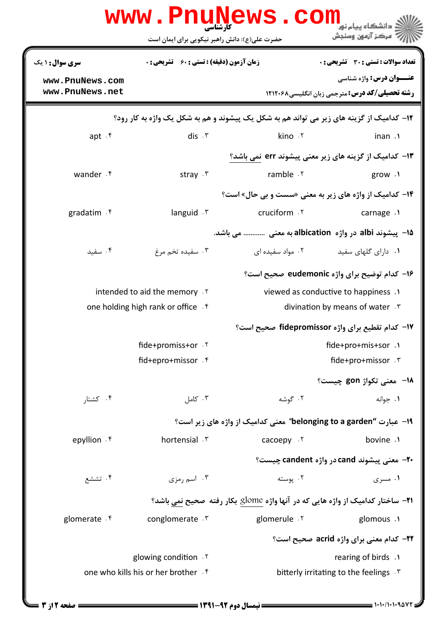|                                                                                                  | کارشناسی<br>حضرت علی(ع): دانش راهبر نیکویی برای ایمان است               | www.PnuNews.com                                                                       | دانشگاه پیام نور<br>' مرڪز آزمون وسنڊش                                                  |  |  |
|--------------------------------------------------------------------------------------------------|-------------------------------------------------------------------------|---------------------------------------------------------------------------------------|-----------------------------------------------------------------------------------------|--|--|
| سری سوال : ۱ یک                                                                                  | <b>زمان آزمون (دقیقه) : تستی : 60 ٪ تشریحی : 0</b>                      |                                                                                       | <b>تعداد سوالات : تستی : 30 ٪ تشریحی : 0</b>                                            |  |  |
| www.PnuNews.com<br>www.PnuNews.net                                                               |                                                                         |                                                                                       | <b>عنـــوان درس:</b> واژه شناسی<br><b>رشته تحصیلی/کد درس: مترجمی زبان انگلیسی311266</b> |  |  |
| <b>۱۲</b> - کدامیک از گزینه های زیر می تواند هم به شکل یک پیشوند و هم به شکل یک واژه به کار رود؟ |                                                                         |                                                                                       |                                                                                         |  |  |
| apt.f                                                                                            | dis.7                                                                   | kino .٢                                                                               | inan .1                                                                                 |  |  |
|                                                                                                  |                                                                         | ۰۱۳ کدامیک از گزینه های زیر معنی پیشوند err نمی باشد؟                                 |                                                                                         |  |  |
| wander .f                                                                                        | stray $\cdot$ $\cdot$                                                   | ramble . ٢                                                                            | grow $\cdot$                                                                            |  |  |
|                                                                                                  |                                                                         | ۰۴- کدامیک از واژه های زیر به معنی «سست و بی حال» است؟                                |                                                                                         |  |  |
| gradatim . f                                                                                     | languid $\cdot$                                                         | cruciform .Y                                                                          | carnage .1                                                                              |  |  |
|                                                                                                  | ۱۵− پیشوند albi در واژه albication به معنی  می باشد.                    |                                                                                       |                                                                                         |  |  |
| ۰۴ سفید                                                                                          | ۰۳ سفیده تخم مرغ                                                        | ۰۲ مواد سفیده ای                                                                      | ۰۱ دارای گلهای سفید                                                                     |  |  |
|                                                                                                  |                                                                         |                                                                                       | ۱۶– کدام توضیح برای واژه eudemonic صحیح است؟                                            |  |  |
|                                                                                                  | intended to aid the memory . Y                                          | viewed as conductive to happiness .                                                   |                                                                                         |  |  |
|                                                                                                  | one holding high rank or office . f<br>divination by means of water . r |                                                                                       |                                                                                         |  |  |
|                                                                                                  |                                                                         |                                                                                       | ۱۷– کدام تقطیع برای واژه fidepromissor صحیح است؟                                        |  |  |
|                                                                                                  | fide+promiss+or . ٢                                                     |                                                                                       | fide+pro+mis+sor .1                                                                     |  |  |
|                                                                                                  | fid+epro+missor . f                                                     |                                                                                       | fide+pro+missor . ٣                                                                     |  |  |
|                                                                                                  |                                                                         |                                                                                       | 18− معنی تکواژ gon چیست؟                                                                |  |  |
| ۰۴ کشتار                                                                                         | ۰۳ کامل                                                                 | ۰۲ گوشه                                                                               | ۰۱ جوانه                                                                                |  |  |
|                                                                                                  |                                                                         | ۱۹- عبارت "belonging to a garden" معنی کدامیک از واژه های زیر است؟                    |                                                                                         |  |  |
| epyllion . f                                                                                     | hortensial . \v                                                         | cacoepy . ٢                                                                           | bovine .1                                                                               |  |  |
|                                                                                                  |                                                                         |                                                                                       | ۲۰– معنی پیشوند cand در واژه candent چیست؟                                              |  |  |
| ۰۴ تششع                                                                                          | ۰۳ اسم رمزی                                                             | ۰۲ یوسته                                                                              | ۰۱ مسری                                                                                 |  |  |
|                                                                                                  |                                                                         | <b>۲۱</b> – ساختار کدامیک از واژه هایی که در آنها واژه glome بکار رفته صحیح نمی باشد؟ |                                                                                         |  |  |
| glomerate . f                                                                                    | conglomerate . ٣                                                        | glomerule .Y                                                                          | glomous .1                                                                              |  |  |
|                                                                                                  |                                                                         |                                                                                       | <b>۲۲- کدام معنی برای واژه acrid صحیح است؟</b>                                          |  |  |
| glowing condition . Y                                                                            |                                                                         | rearing of birds .                                                                    |                                                                                         |  |  |
|                                                                                                  | one who kills his or her brother . f                                    |                                                                                       | bitterly irritating to the feelings . \vari                                             |  |  |
|                                                                                                  |                                                                         |                                                                                       |                                                                                         |  |  |